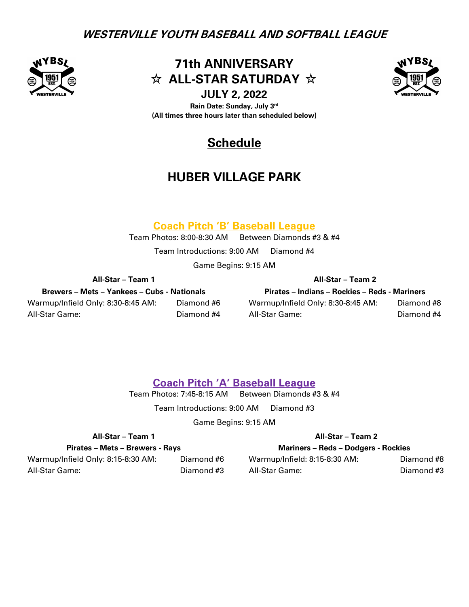

**71th ANNIVERSARY**  $\hat{\mathbf{x}}$  ALL-STAR SATURDAY  $\hat{\mathbf{x}}$ 

**JULY 2, 2022 Rain Date: Sunday, July 3rd (All times three hours later than scheduled below)** 



# **Schedule**

# **HUBER VILLAGE PARK**

## **Coach Pitch 'B' Baseball League**

Team Photos: 8:00-8:30 AM Between Diamonds #3 & #4

Team Introductions: 9:00 AM Diamond #4

Game Begins: 9:15 AM

**All-Star – Team 1 All-Star – Team 2**

**Brewers – Mets – Yankees – Cubs - Nationals Pirates – Indians – Rockies – Reds - Mariners** Warmup/Infield Only: 8:30-8:45 AM: Diamond #6 Warmup/Infield Only: 8:30-8:45 AM: Diamond #8 All-Star Game: Diamond #4 All-Star Game: Diamond #4

## **Coach Pitch 'A' Baseball League**

Team Photos: 7:45-8:15 AM Between Diamonds #3 & #4

Team Introductions: 9:00 AM Diamond #3

Game Begins: 9:15 AM

| All-Star - Team 1 |  |
|-------------------|--|
|                   |  |

### **Pirates – Mets – Brewers - Rays Mariners – Reds – Dodgers - Rockies**

### **All-Star – Team 1 All-Star – Team 2**

Warmup/Infield Only: 8:15-8:30 AM: Diamond #6 Warmup/Infield: 8:15-8:30 AM: Diamond #8 All-Star Game: Diamond #3 All-Star Game: Diamond #3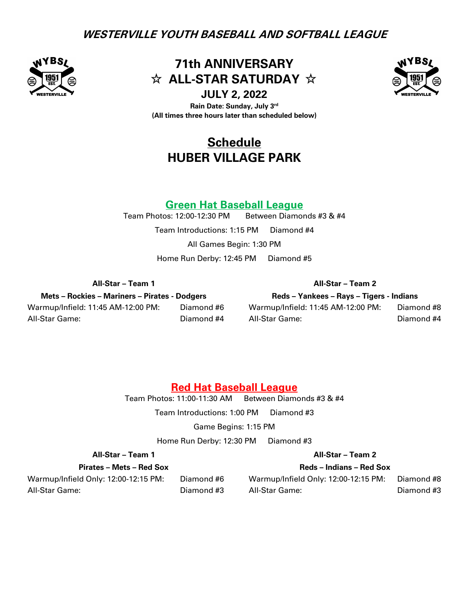

**71th ANNIVERSARY**  $\hat{\mathbf{x}}$  ALL-STAR SATURDAY  $\hat{\mathbf{x}}$ 

**JULY 2, 2022** 

**Rain Date: Sunday, July 3rd (All times three hours later than scheduled below)** 

# **Schedule HUBER VILLAGE PARK**

# **Green Hat Baseball League**<br>Team Photos: 12:00-12:30 PM Between Diamor

Between Diamonds #3 & #4 Team Introductions: 1:15 PM Diamond #4 All Games Begin: 1:30 PM Home Run Derby: 12:45 PM Diamond #5

### **All-Star – Team 1 All-Star – Team 2**

**Mets – Rockies – Mariners – Pirates - Dodgers Reds – Yankees – Rays – Tigers - Indians** Warmup/Infield: 11:45 AM-12:00 PM: Diamond #6 Warmup/Infield: 11:45 AM-12:00 PM: Diamond #8

All-Star Game: Diamond #4 All-Star Game: Diamond #4

## **Red Hat Baseball League**

Team Photos: 11:00-11:30 AM Between Diamonds #3 & #4

Team Introductions: 1:00 PM Diamond #3

Game Begins: 1:15 PM

Home Run Derby: 12:30 PM Diamond #3

### **All-Star – Team 1 All-Star – Team 2**

**Pirates – Mets – Red Sox Reds – Indians – Red Sox**

Warmup/Infield Only: 12:00-12:15 PM: Diamond #6 Warmup/Infield Only: 12:00-12:15 PM: Diamond #8 All-Star Game: Diamond #3 All-Star Game: Diamond #3

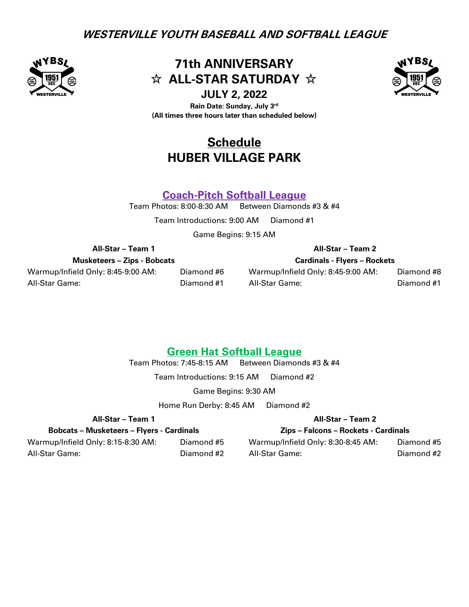

**71th ANNIVERSARY**  $\hat{\mathbf{x}}$  ALL-STAR SATURDAY  $\hat{\mathbf{x}}$ 

**JULY 2, 2022** 

**Rain Date: Sunday, July 3rd (All times three hours later than scheduled below)** 

# **Schedule HUBER VILLAGE PARK**

## **Coach-Pitch Softball League**

Team Photos: 8:00-8:30 AM Between Diamonds #3 & #4

Team Introductions: 9:00 AM Diamond #1

Game Begins: 9:15 AM

**Musketeers – Zips - Bobcats Cardinals - Flyers – Rockets**

All-Star Game: Diamond #1 All-Star Game: Diamond #1

### **All-Star – Team 1 All-Star – Team 2**

Warmup/Infield Only: 8:45-9:00 AM: Diamond #6 Warmup/Infield Only: 8:45-9:00 AM: Diamond #8

## **Green Hat Softball League**

Team Photos: 7:45-8:15 AM Between Diamonds #3 & #4

Team Introductions: 9:15 AM Diamond #2

Game Begins: 9:30 AM

Home Run Derby: 8:45 AM Diamond #2

## **All-Star – Team 1 All-Star – Team 2**

**Bobcats – Musketeers – Flyers - Cardinals Zips – Falcons – Rockets - Cardinals**

Warmup/Infield Only: 8:15-8:30 AM: Diamond #5 Warmup/Infield Only: 8:30-8:45 AM: Diamond #5 All-Star Game: Diamond #2 All-Star Game: Diamond #2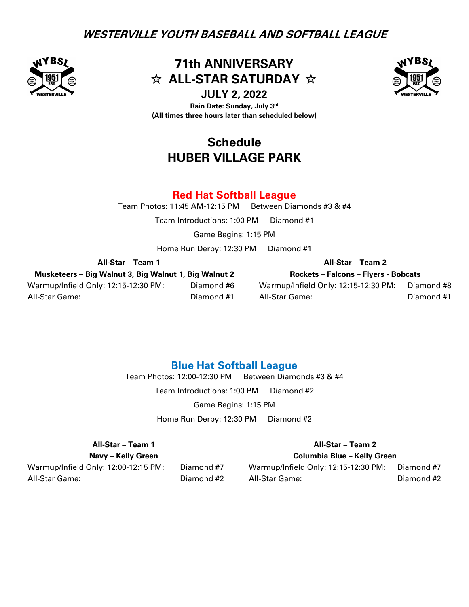

**71th ANNIVERSARY**  $\hat{\mathbf{x}}$  ALL-STAR SATURDAY  $\hat{\mathbf{x}}$ 



**JULY 2, 2022 Rain Date: Sunday, July 3rd (All times three hours later than scheduled below)** 

# **Schedule HUBER VILLAGE PARK**

## **Red Hat Softball League**

Team Photos: 11:45 AM-12:15 PM Between Diamonds #3  $&$  #4

Team Introductions: 1:00 PM Diamond #1

Game Begins: 1:15 PM

Home Run Derby: 12:30 PM Diamond #1

**Musketeers – Big Walnut 3, Big Walnut 1, Big Walnut 2 Rockets – Falcons – Flyers - Bobcats**

### **All-Star – Team 1 All-Star – Team 2**

Warmup/Infield Only: 12:15-12:30 PM: Diamond #6 Warmup/Infield Only: 12:15-12:30 PM: Diamond #8 All-Star Game: Diamond #1 All-Star Game: Diamond #1

### **Blue Hat Softball League**

Team Photos: 12:00-12:30 PM Between Diamonds #3 & #4

Team Introductions: 1:00 PM Diamond #2 Game Begins: 1:15 PM

Home Run Derby: 12:30 PM Diamond #2

### **All-Star – Team 1 All-Star – Team 2**

**Navy – Kelly Green Columbia Blue – Kelly Green**

Warmup/Infield Only: 12:00-12:15 PM: Diamond #7 Warmup/Infield Only: 12:15-12:30 PM: Diamond #7 All-Star Game: Diamond #2 All-Star Game: Diamond #2